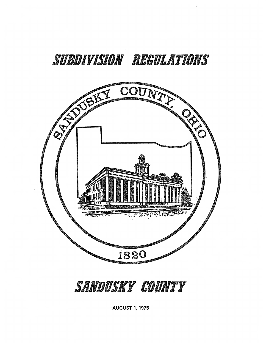# SUBDIVISION REGULATIONS



SANDUSKY COUNTY

**AUGUST 1, 1975**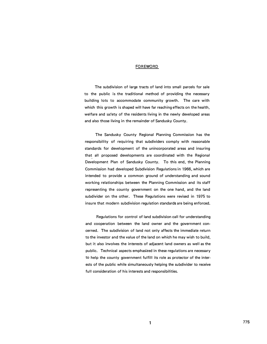## FOREWORD\_

The subdivision of large tracts of land into small parcels for sale to the public is the traditional method of providing the necessary building lots to accommodate community growth. The care with which this growth is shaped will have far reaching effects on the health, welfare and safety of the residents living in the newly developed areas and also those living in the remainder of Sandusky County.

The Sandusky County Regional Planning Commission has the responsibility of requiring that subdividers comply with reasonable standards for development of the unincorporated areas and insuring that all proposed developments are coordinated with the Regional Development Plan of Sandusky County. To this end, the Planning Commission had developed Subdivision Regulations in 1966, which are intended to provide a common ground of understanding and sound working relationships between the Planning Commission and its staff representing the county government on the one hand, and. the land subdivider on the other. These Regulations were revised in 1975 to insure that modern subdivision regulation standards are being enforced.

Regulations for control of land subdivision call for understanding and cooperation between the land owner and the government concerned. The subdivision of land not only affects the immediate return to the investor and the value of the land on which he may wish to build, but it also involves the interests of adjacent land owners as well as the public. Technical aspects emphasized in these regulations are necessary to help the county government fulfill its role as protector of the interests of the public while simultaneously helping the subdivider to receive full consideration of his interests and responsibilities.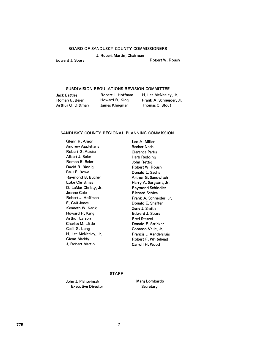# BOARD OF SANDUSKY COUNTY COMMISSIONERS

J. Robert Martin, Chairman

Edward J. Sours **Robert W. Roush** 

#### SUBDIVISION REGULATIONS REVISION COMMITTEE

Jack Battles Roman E. Beier Arthur 0. Dittman

Robert J. Hoffman Howard R. King James Klingman

H. Lee McNeeley, Jr. Frank A. Schneider, Jr. Thomas C. Stout

#### SANDUSKY COUNTY REGIONAL PLANNING COMMISSION

Glenn R. Amon Andrew Applehans Robert G. Auxter Albert J. Beier Roman E. Beier David R. Binnig Paul E. Bowe Raymond B. Bucher Luke Christmas D. LaMar Christy, Jr. Jeanne Cole Robert J. Hoffman E. Gail Jones Kenneth W. Kerik Howard R. King Arthur Larson Charles M. Little Cecil G. Long H. Lee McNeeley, Jr. Glenn Maddy J. Robert Martin

Leo A. Miller Beeker Neeb Clarence Parks Herb Redding John Rettig Robert W. Roush Donald L. Sachs Arthur G. Sandwisch Harry A. Sargeant, Jr. Raymond Schindler Richard Schlea Frank A. Schneider, Jr. Donald E. Shaffer Zene J. Smith Edward J. Sours Fred Stetzel Donald F. Stricker Conrado Valle, Jr. Francis J. Vandersluis Robert F. Whitehead Carroll H. Wood

#### STAFF

John J. Plahovinsak Executive Director Marg Lombardo **Secretary**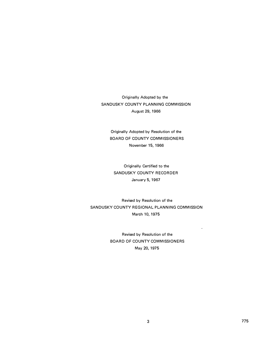Originally Adopted by the SANDUSKY COUNTY PLANNING COMMISSION August 29, 1966

Originally Adopted by Resolution of the BOARD OF COUNTY COMMISSIONERS November 15, 1966

Originally Certified to the SANDUSKY COUNTY RECORDER January 5, 1967

Revised by Resolution of the SANDUSKY COUNTY REGIONAL PLANNING COMMISSION March 10, 1975

> Revised by Resolution of the BOARD OF COUNTY COMMISSIONERS May 20, 1975

 $\hat{\mathbf{z}}$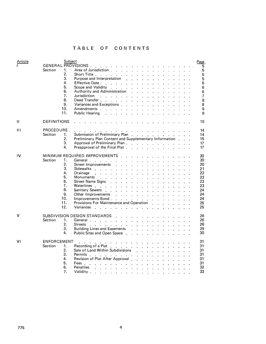# **TABLE OF CONTENTS**

| Article        | Subject<br><b>GENERAL PROVISIONS</b> .<br>Section<br>1.<br>2 <sub>1</sub><br>3.<br>4.<br>5.<br>6.<br>7.<br>8.<br>9.<br>10.<br>11. | Page<br>5<br>and the contract of the con-<br>5<br>Area of Jurisdiction<br>5<br>Short Title $\ldots$ $\ldots$ $\ldots$ $\ldots$<br>5<br>Purpose and Interpretation<br>$\mathbf{z} = \mathbf{z} + \mathbf{z}$ .<br>Effective Date<br>6<br>Scope and Validity $\ldots$ , $\ldots$<br>6<br>Authority and Administration<br>6<br>$\mathcal{L}^{\text{max}}$<br>$\ddot{\phantom{0}}$<br>$\mathbf{r}$<br>$\sim$<br>$\mathbb{Z}$<br>Jurisdiction<br>7<br>$\mathbf{r}$ . The set of the set of the set of the set of the set of the set of the set of the set of the set of the set of the set of the set of the set of the set of the set of the set of the set of the set of the set of t<br>$\sim$<br>Deed Transfer<br>8<br>$\mathcal{L}^{\mathcal{L}}$<br>Variances and Exceptions (enterprise on the contract of the contract of the contract of the contract of the contract of the contract of the contract of the contract of the contract of the contract of the contract of the co<br>8<br>Amendments<br>9<br>$\Delta$<br>Public Hearing<br>9<br>$\mathbf{r}$ , $\mathbf{r}$ , $\mathbf{r}$ , $\mathbf{r}$ , $\mathbf{r}$ , $\mathbf{r}$ , $\mathbf{r}$ , $\mathbf{r}$ , $\mathbf{r}$ , $\mathbf{r}$ |
|----------------|-----------------------------------------------------------------------------------------------------------------------------------|-------------------------------------------------------------------------------------------------------------------------------------------------------------------------------------------------------------------------------------------------------------------------------------------------------------------------------------------------------------------------------------------------------------------------------------------------------------------------------------------------------------------------------------------------------------------------------------------------------------------------------------------------------------------------------------------------------------------------------------------------------------------------------------------------------------------------------------------------------------------------------------------------------------------------------------------------------------------------------------------------------------------------------------------------------------------------------------------------------------------------------------------------------------------------------------------------------|
| $\mathbf{H}$   | DEFINITIONS                                                                                                                       | 10<br>$\cdot$ $\cdot$ $\cdot$                                                                                                                                                                                                                                                                                                                                                                                                                                                                                                                                                                                                                                                                                                                                                                                                                                                                                                                                                                                                                                                                                                                                                                         |
| $\mathbf{III}$ | PROCEDURE.<br>Section<br>1.<br>2.<br>3.<br>4.                                                                                     | 14<br>المنابذ المنابذ المنابذ المنابي المنابذ المنابذ المناب<br>Submission of Preliminary Plan (Containing the contact of the contact of the contact of the substitution of the<br>14<br>Preliminary Plan Content and Supplementary Information.<br>15<br>Approval of Preliminary Plan<br>17<br>Preapproval of the Final Plat<br>17                                                                                                                                                                                                                                                                                                                                                                                                                                                                                                                                                                                                                                                                                                                                                                                                                                                                   |
| IV             | Section<br>1.<br>2.<br>3.<br>4.<br>5.<br>٠6.<br>7.<br>8.<br>9.<br>10.<br>11.<br>12.                                               | MINIMUM REQUIRED IMPROVEMENTS<br>20<br>General<br>20<br>Street Improvements<br>20<br>$\mathbf{L}$ and $\mathbf{L}$<br>$\begin{array}{cccccccccccccc} \bullet & \bullet & \bullet & \bullet & \bullet & \bullet & \bullet & \bullet & \bullet & \bullet & \bullet \end{array}$<br>Sidewalks<br>21<br>$\mathbf{r}$ and $\mathbf{r}$ and $\mathbf{r}$ and $\mathbf{r}$ and $\mathbf{r}$<br>Drainage<br>22<br>22<br>Monuments<br>$\mathbf{L}^{\text{max}}$ and $\mathbf{L}^{\text{max}}$<br>23<br><b>Street Name Signs</b><br>$\mathbf{r}$<br>$\mathbf{1}^{\prime}$ , $\mathbf{1}^{\prime}$ , $\mathbf{1}^{\prime}$ , $\mathbf{1}^{\prime}$<br>$\mathbf{v} = \mathbf{v}$ .<br>$\sim$<br>Waterlines<br>23<br>Sanitary Sewers<br>24<br>Other Improvements<br>24<br>$\mathbf{r}$ , $\mathbf{r}$ , $\mathbf{r}$ , $\mathbf{r}$ , $\mathbf{r}$ , $\mathbf{r}$ , $\mathbf{r}$ , $\mathbf{r}$<br>24<br>Improvements Bond<br>and the company of the company of<br>Provisions For Maintenance and Operation<br>25<br>$\mathbf{r}$ , $\mathbf{r}$ , $\mathbf{r}$ , $\mathbf{r}$ , $\mathbf{r}$<br>Variances<br>25<br>$\mathbf{r}$<br>$\mathbf{r}$                                                                   |
| v              | Section<br>1.<br>2.<br>3.<br>4.                                                                                                   | SUBDIVISION DESIGN STANDARDS<br>26<br>$\mathbf{r}$ . The set of the set of the set of the set of the set of the set of the set of the set of the set of the set of the set of the set of the set of the set of the set of the set of the set of the set of the set of t<br>26<br>General<br>Streets<br>26<br>Building Lines and Easements<br>29<br>30<br>Public Sites and Open Space.<br>$\mathbf{r}$ , $\mathbf{r}$ , $\mathbf{r}$ , $\mathbf{r}$ , $\mathbf{r}$ , $\mathbf{r}$                                                                                                                                                                                                                                                                                                                                                                                                                                                                                                                                                                                                                                                                                                                      |
| VI             | <b>ENFORCEMENT</b><br>Section<br>1.<br>2.<br>3.<br>4.<br>5.<br>6.<br>7.                                                           | 31<br>$\mathcal{A}=\mathcal{A}=\mathcal{A}=\mathcal{A}$ .<br>Recording of a Plat<br>31<br>Sale of Land Within Subdivisions<br>31<br>and a strain and a strain and a<br>31<br>Permits<br><b>All All Angel</b><br>$\sim$<br>31<br>Revision of Plat After Approval.<br>Fees.<br>31<br>32<br><b>Penalties</b><br>the contract of the contract of the contract of the contract of the contract of the contract of the contract of<br>33<br>Validity,<br>$\mathbf{u} = \mathbf{u} + \mathbf{u} + \mathbf{u} + \mathbf{u} + \mathbf{u} + \mathbf{u}$                                                                                                                                                                                                                                                                                                                                                                                                                                                                                                                                                                                                                                                         |

 $\mathcal{L}^{\mathcal{L}}$  $\mathcal{A}^{\mathcal{A}}$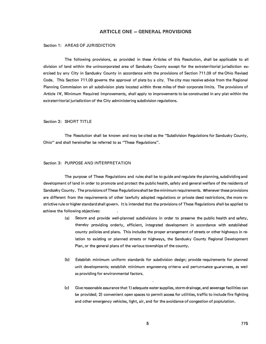# **ARTICLE ONE - GENERAL PROVISIONS**

# Section 1: AREAS OF JURISDICTION

The following provisions, as provided in these Articles of this Resolution, shall be applicable to all division of land within the unincorporated area of Sandusky County except for the extraterritorial jurisdiction exercised by any City in Sandusky County in accordance with the provisions of Section 711.09 of the Ohio Revised Code. This Section 711.09 governs the approval of plats by a city. The city may receive advice from the Regional Planning Commission on all subdivision plats located within three miles of their corporate limits. The provisions of Article IV, Minimum Required Improvements, shall apply to improvements to be constructed in any plat within the extraterritorial jurisdiction of the City administering subdivision regulations.

## Section 2: SHORT TITLE

The Resolution shall be known and may be cited as the "Subdivision Regulations for Sandusky County, Ohio" and shall hereinafter be referred to as "These Regulations".

# Section 3: PURPOSE AND INTERPRETATION

The purpose of These Regulations and rules shall be to guide and regulate the planning, subdividing and development of land in order to promote and protect the public health, safety and general welfare of the residents of Sandusky County. The provisions of These Regulations shall be the minimum requirements. Whenever these provisions are different from the requirements of other lawfully adopted regulations or private deed restrictions, the more restrictive rule or higher standard shall govern. It is intended that the provisions of These Regulations shall be applied to achieve the following objectives:

- (a) Secure and provide well-planned subdivisions in order to preserve the public health and safety, thereby providing orderly, efficient, integrated development in accordance with established county policies and plans. This includes the proper arrangement of streets or other highways in relation to existing or planned streets or highways, the Sandusky County Regional Development Plan, or the general plans of the various townships of the county.
- (b) Establish minimum uniform standards for subdivision design; provide requirements for planned unit developments; establish minimum engineering criteria and pertormance guarantees, as well as providing for environmental factors.
- (c) Give reasonable assurance that 1) adequate water supplies, storm drainage, and sewerage facilities can be provided; 2) convenient open spaces to permit access for utilities, traffic to include fire fighting and other emergency vehicles, light, air, and for the avoidance of congestion of poplulation.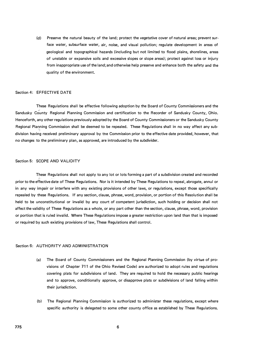(d) Preserve the natural beauty of the land; protect the vegetative cover of natural areas; prevent surface water, subsurface water, air, noise, and visual pollution; regulate development in areas of geological and topographical hazards (including but not limited to flood plains, shorelines, areas of unstable or expansive soils and excessive slopes or slope areas); protect against loss or injury from inappropriate use of the land; and otherwise help preserve and enhance both the safety and the quality of the environment.

#### Section 4: EFFECTIVE DATE

These Regulations shall be effective following adoption by the Board of County Commissioners and the Sandusky County Regional Planning Commission and certification to the Recorder of Sandusky County, Ohio. Henceforth, any other regulations previously adopted by the Board of County Commissioners or the Sandusky County Regional Planning Commission shall be deemed to be repealed. These Regulations shall in no way affect any subdivision having received preliminary approval by the Commission prior to the effective date provided, however, that no changes to the preliminary plan, as approved, are introduced by the subdivider.

# Section 5: SCOPE AND VALIDITY

These Regulations shall not apply to any lot or lots forming a part of a subdivision created and recorded ,. prior to the effective date of These Regulations. Nor is it intended by These Regulations to repeal, abrogate, annul or in any way impair or interfere with any existing provisions of other laws, or regulations, except those specifically repealed by these Regulations. If any section, clause, phrase, word, provision, or portion of this Resolution shall be held to be unconstitutional or invalid by any court of competent jurisdiction, such holding or decision shall not affect the validity of These Regulations as a whole, or any part other than the section, clause, phrase, word, provision or portion that is ruled invalid. Where These Regulations impose a greater restriction upon land than that is imposed or required by such existing provisions of law, These Regulations shall control.

# Section 6: AUTHORITY AND ADMINISTRATION

- (a) The Board of County Commissioners and the Regional Planning Commission (by virtue of provisions of Chapter 711 of the Ohio Revised Code) are authorized to adopt rules and regulations covering plats for subdivisions of land. They are required to hold the necessary public hearings and to approve, conditionally approve, or disapprove plats or subdivisions of land falling within their jurisdiction.
- (b) The Regional Planning Commission is authorized to administer these regulations, except where specific authority is delegated to some other county office as established by These Regulations.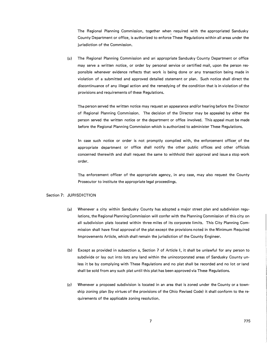The Regional Planning Commission, together when ·required with the appropriated Sandusky County Department or office, is authorized to enforce These Regulations within all areas under the jurisdiction of the Commission.

(c) The Regional Planning Commission and an· appropriate Sandusky County Department or office may serve a written notice, or order by personal service or certified mail, upon the person responsible whenever evidence reflects that work is being done or any transaction being made in violation of a submitted and approved detailed statement or plan. Such notice shall direct the discontinuance of any illegal action and the remedying of the condition that is in violation of the provisions and requirements of these Regulations.

The person served the written notice may request an appearance and/or hearing before the Director of Regional Planning Commission. The decision of the Director may be appealed by either the person served the written notice or the department or office involved. This appeal must be made before the Regional Planning Commission which is authorized to administer These Regulations.

In case such notice or order is not promptly complied with, the enforcement officer of the appropriate department or office shall notify the other public offices and other officials concerned therewith and shall request the same to withhold their approval and issue a stop work order.

The enforcement officer of the appropriate agency, in any case, may also request the County Prosecutor to institute the appropriate legal proceedings.

# Section 7: JURISDICTION

- (a) Whenever a city within Sandusky County has adopted a major street plan and subdivision regulations, the Regional Planning Commission will confer with the Planning Commission of this city on all subdivision plats located within three miles of its corporate limits. This City Planning Commission shall have final approval of the plat except the provisions noted in the Minimum Required Improvements Article, which shall remain the jurisdiction of the County Engineer.
- (b) Except as provided in subsection a, Section 7 of Article I, it shall be unlawful for any person to subdivide or lay out into lots any land within the unincorporated areas of Sandusky County unless it be by complying with These Regulations and no plat shall be recorded and no lot or land shall be sold from any such plat until this plat has been approved via These Regulations.
- (c) Whenever a proposed subdivision is located in an area that is zoned under the County or a township zoning plan (by virtues of the provisions of the Ohio Revised Code) it shall conform to the requirements of the applicable zoning resolution.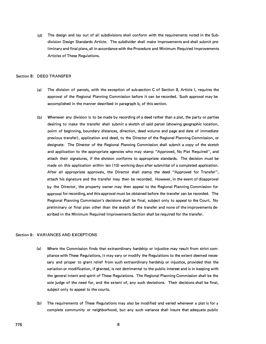(d) The design and lay out of all subdivisions shall conform with the requirements noted in the Subdivision Design Standards Article. The subdivider shall make improvements and shall submit preliminary and final plans, all in accordance with the Procedure and Minimum Required Improvements Articles of These Regulations.

#### Section 8: DEED TRANSFER

- (a) The division of parcels, with the exception of sub-section C of Section 9, Article I, requires the approval of the Regional Planning Commission before it can be recorded. Such approval may be 'accomplished in the manner described in paragraph b, of this section.
- (b) Whenever any division is to be made by recording of a deed rather than a plat, the party or parties desiring to make the transfer shall submit a sketch of said parcel (showing geographic location, point of beginning, boundary distances, direction, deed volume and page and date of immediate previous transfer), application and deed, to the Director of the Regional Planning Commission, or designate. The Director of the Regional Planning Commission shall submit a copy of the sketch and application to the appropriate agencies who may stamp "Approved, No Plat Required", and attach their signatures, if the division conforms to appropriate standards. The decision must be made on this application within ten (10) working days after submittal of a completed application. After all appropriate approvals, the Director shall stamp the deed "Approved for Transfer", attach his signature and the transfer may then be recorded. However, in the event of disapproval by the Director, the property owner may then appeal to the Regional Planning Commission for approval for recording, and this approval must be obtained before the transfer can be recorded. The Regional Planning Commission's decisions shall be final, subject only to appeal to the Court. No preliminary or final plan other than the sketch of the transfer and none of the improvements described in the Minimum Required Improvements Section shall be required for the transfer.

# Section 9: VARIANCES AND EXCEPTIONS

- (a) Where the Commission finds that extraordinary hardship or injustice may result from strict compliance with These Regulations, it may vary or modify the Regulations to the extent deemed necessary and proper to grant relief from such extraordinary hardship or injustice, provided that the variation or modification, if granted, is not detrimental to the public interest and is in keeping with the general intent and spirit of These Regulations. The Regional Planning Commission shall be the sole judge of the need for, and the extent of, any such deviations. Their decisions shall be final, subject only to appeal to the courts.
- (b) The requirements of These Regulations may also be modified and varied whenever a plat is for a complete community or neighborhood, but any such variance shall insure that adequate public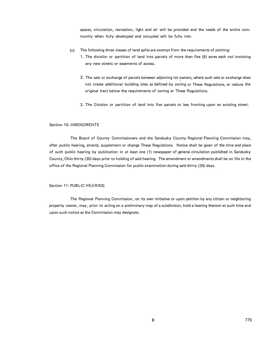spaces, circulation, recreation, light and air will be provided and the needs of the entire community when fully developed and occupied will be fully met.

- The following three classes of land splits are exempt from the requirements of platting:
	- 1. The division or partition of land into parcels of more than five (5) acres each not involving any new streets or easements of access.
		- 2. The sale or exchange of parcels between adjoining lot owners, where such sale or exchange does not create additional building sites as defined by zoning or These Regulations, or reduce the original tract below the requirements of zoning or These Regulations.
		- 3. The Division or partition of land into five parcels or less fronting upon an existing street.

# Section 10: AMENDMENTS

The Board of County Commissioners and the Sandusky County Regional Planning Commission may, after public hearing, amend, supplement or change These Regulations. Notice shall be given of the time and place of such public hearing by publication in at least one ( 1) newspaper of general circulation published in Sandusky County, Ohio thirty (30) days prior to holding of said hearing. The amendment or amendments shall be on file in the office of the Regional Planning Commission for public examination during said thirty (30) days.

# Section 11: PUBLIC HEARING

The Regional Planning Commission, on its own initiative or upon petition by any citizen or neighboring property owner, may, prior to acting on a preliminary map of a subdivision, hold a hearing thereon at such time and upon such notice as the Commission may designate.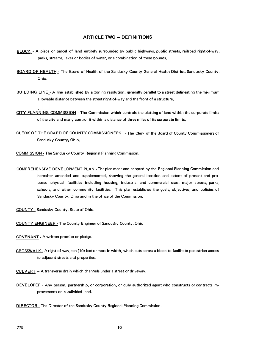# **ARTICLE TWO - DEFINITIONS**

- BLOCK A piece or parcel of land entirely surrounded by public highways, public streets, railroad right-of-way, parks, streams, lakes or bodies of water, or a combination of these bounds.
- BOARD OF HEALTH The Board of Health of the Sandusky County General Health District, Sandusky County, Ohio.
- BUILDING LINE A line established by a zoning resolution, generally parallel to a street delineating the minimum allowable distance between the street right-of-way and the front of a structure.
- CITY PLANNING COMMISSION · The Commission which controls the platting of land within the corporate limits of the city and many control it within a distance of three miles of its corporate limits,
- CLERK OF THE BOARD OF COUNTY COMMISSIONERS . The Clerk of the Board of County Commissioners of Sandusky County, Ohio.

COMMISSION· The Sandusky County Regional Planning Commission.

- COMPREHENSIVE DEVELOPMENT PLAN The plan made and adopted by the Regional Planning Commission and hereafter amended and supplemented, showing the general location and extent of present and proposed physical facilities including housing, industrial and commercial uses, major streets, parks, schools, and other community facilities. This plan establishes the goals, objectives, and policies of Sandusky County, Ohio and in the office of the Commission.
- COUNTY· Sandusky County, State of Ohio.
- COUNTY ENGINEER · The County Engineer of Sandusky County, Ohio
- COVENANT A written promise or pledge.
- CROSSWALK· A right-of-way, ten (10) feet or more in width, which cuts across a block to facilitate pedestrian access to adjacent streets.and properties.
- CULVERT A transverse drain which channels under a street or driveway.
- DEVELOPER Any person, partnership, or corporation, or duly authorized agent who constructs or contracts improvements on subdivided land.
- DIRECTOR The Director of the Sandusky County Regional Planning Commission.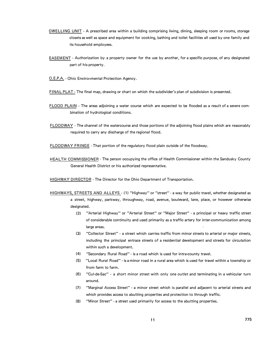- DWELLING UNIT A prescribed area within a building comprising living, dining, sleeping room or rooms, storage closets as well as space and equipment for cooking, bathing and toilet facilities all used by one family and its household employees.
- EASEMENT Authorization by a property owner for the use by another, for a specific purpose, of any designated part of his property.
- O.E.P.A. Ohio Environmental Protection Agency.
- FINAL PLAT The final map, drawing or chart on which the subdivider's plan of subdivision is presented.
- FLOOD PLAIN The areas adjoining a water course which are expected to be flooded as a result of a severe combination of hydrological conditions.
- FLOODWAY The channel of the watercourse and those portions of the adjoining flood plains which are reasonably required to carry any discharge of the regional flood.

FLOODWAY FRINGE - That portion of the regulatory flood plain outside of the floodway.

HEAL TH COMMISSIONER - The person occupying the office of Health Commissioner within the Sandusky County General Health District or his authorized representative.

HIGHWAY DIRECTOR - The Director for the Ohio Department of Transportation.

- HIGHWAYS, STREETS AND ALLEYS (1) "Highway" or "street" a way for public travel, whether designated as a street, highway, parkway, throughway, road, avenue, boulevard, lane, place, or however otherwise designated.
	- (2) "Arterial Highway" or "Arterial Street" or "Major Street" a principal or heavy traffic street of considerable continuity and used primarily as a traffic artery for inter-communication among large areas.
	- (3) "Collector Street" a street which carries traffic from minor streets to arterial or major streets, including the principal entrace streets of a residential development and streets for circulation within such a development.
	- (4) "Secondary Rural Road" is a road which is used for intra-county travel.
	- (5) "Local Rural Road" is a minor road in a rural area which is used for travel within a township or from farm to farm.
	- (6) "Cul-de-Sac" a short minor street with only one outlet and terminating in a vehicular turn around.
	- (7) "Marginal Access Street" · a minor street which is parallel and adjacent to arterial streets and which provides access to abutting properties and protection to through traffic.
	- (8) "Minor Street" a street used primarily for access to the abutting properties.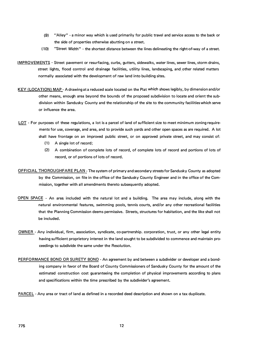- (9) "Alley" a minor way which is used primarily for public travel and service access to the back or the side of properties otherwise abutting on a street.
- ( 10) "Street Width" the shortest distance between the lines delineating the right-of-way of a street.
- IMPROVEMENTS Street pavement or resurfacing, curbs, gutters, sidewalks, water lines, sewer lines, storm drains, street lights, flood control and drainage facilities, utility lines, landscaping, and other related matters normally associated with the development of raw land into building sites.
- KEY (LOCATION) MAP A drawing at a reduced scale located on the Plat which shows legibly, by dimension and/or other means, enough area beyond the bounds of the proposed subdivision to locate and orient the subdivision within Sandusky County and the relationship of the site to the community facilities which serve or influence the area.
- LOT For purposes of these regulations, a lot is a parcel of land of sufficient size to meet minimum zoning requirements for use, coverage, and area, and to provide such yards and other open spaces as are required. A lot shall have frontage on an improved public street, or on approved private street, and may consist of:
	- **( 1)** A single lot of record;
	- (2) A combination of complete lots of record, of complete lots of record and portions of lots of record, or of portions of lots of record.
- OFFICIAL THOROUGHFARE PLAN -The system of primary and secondary streets for Sandusky County as adopted by the Commission, on file in the office of the Sandusky County Engineer and in the office of the Commission, together with all amendments thereto subsequently adopted.
- OPEN SPACE An area included with the natural lot and a building. The area may include, along with the natural environmental features, swimming pools, tennis courts, and/or any other recreational facilities that the Planning Commission deems permissive. Streets, structures for habitation, and the like shall not be included.
- OWNER Any individual, firm, association, syndicate, co-partnership. corporation, trust, or any other legal entity having sufficient proprietory interest in the land sought to be subdivided to commence and maintain proceedings to subdivide the same under the Resolution.
- PERFORMANCE BOND OR SURETY BOND An agreement by and between a subdivider or developer and a bonding company in favor of the Board of County Commissioners of Sandusky County for the amount of the estimated construction cost guaranteeing the completion of physical improvements according to plans and specifications within the time prescribed by the subdivider's agreement.
- PARCEL Any area or tract of land as defined in a recorded deed description and shown on a tax duplicate.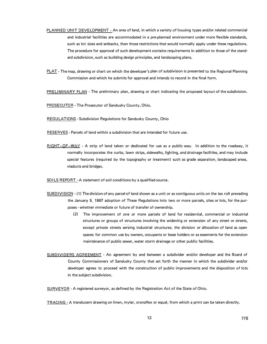- PLANNED UNIT DEVELOPMENT An area of land, in which a variety of housing types and/or related commercial and industrial facilities are accommodated in a pre-planned environment under more flexible standards, such as lot sizes and setbacks, than those restrictions that would normally apply under these regulations. The procedure for approval of such development contains requirements in addition to those of the standard subdivision, such as building design principles, and landscaping plans.
- PLAT The map, drawing or chart on which the developer's plan of subdivision is presented to the Regional Planning Commission and which he submits for approval and intends to record in the final form.

PRELIMINARY PLAN - The preliminary plan, drawing or chart indicating the proposed layout of the subdivision.

PROSECUTOR - The Prosecutor of Sandusky County, Ohio.

REGULATIONS - Subdivision Regulations for Sandusky County, Ohio

RESERVES - Parcels of land within a subdivision that are intended for future use.

RIGHT-OF-WAY - A strip of land taken or dedicated for use as a public way. In addition to the roadway, it normally incorporates the curbs, lawn strips, sidewalks, lighting, and drainage facilities, and may include special features (required by the topography or treatment) such as grade separation, landscaped areas, viaducts and bridges.

SOILS REPORT - A statement of soil conditions by a qualified source.

- SUBDIVISION ( 1) The division of any parcel of land shown as a unit or as contiguous units on the tax roll preceding the January 5, 1967 adoption of These Regulations into two or more parcels, sites or lots, for the purposes - whether immediate or future of transfer of ownership.
	- (2) The improvement of one or more parcels of land for residential, commercial or industrial structures or groups of structures involving the widenihg or extension of. any street or streets, except private streets serving industrial structures; the division or allocation of land as open spaces for common use by owners, occupants or lease holders or as easements for the extension maintenance of public sewer, water storm drainage or other public facilities.
- SUBDIVIDERS AGREEMENT An agreement by and between a subdivider and/or developer and the Board of County Commissioners of Sandusky County that set forth the manner in which the subdivider and/or developer agrees to proceed with the construction of public improvements and the disposition of lots in the subject subdivision.

SURVEYOR - A registered surveyor, as defined by the Registration Act of the State of Ohio.

TRACING· A translucent drawing on linen, mylar, cronaflex or equal, from which a print can be taken directly.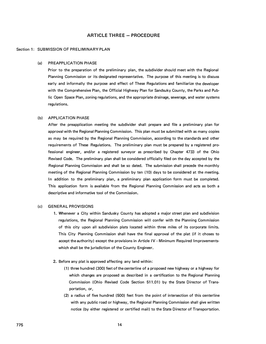# **ARTICLE THREE - PROCEDURE**

#### Section 1: SUBMISSION OF PRELIMINARY PLAN

#### (a) PREAPPLICATION PHASE

Prior to the preparation of the preliminary plan, the subdivider should meet with the Regional Planning Commission or its designated representative. The purpose of this meeting is to discuss early and informally the purpose and effect of These Regulations and familiarize the developer with the Comprehensive Plan, the Official Highway Plan for Sandsuky County, the Parks and Public Open Space Plan, zoning regulations, and the appropriate drainage, sewerage, and water systems regulations.

#### (b) APPLICATION PHASE

After the preapplication meeting the subdivider shall prepare and file a preliminary plan for approval with the Regional Planning Commission. This plan must be submitted with as many copies as may be required by the Regional Planning Commission, according to the standards and other requirements of These Regulations. The preliminary plan must be prepared by a registered professional engineer, and/or a registered surveyor as prescribed by Chapter 4733 of the Ohio Revised Code. The preliminary plan shall be considered officially filed on the day accepted by the Regional Planning Commission and shall be so dated. The submission shall precede the monthly meeting of the Regional Planning Commission by ten (10) days to be considered at the meeting. In addition to the preliminary plan, a preliminary plan application form must be completed. This application form is available from the Regional Planning Commission and acts as both a descriptive and informative tool of the Commission.

#### (c) GENERAL PROVISIONS

- 1. Whenever a City within Sandusky County has adopted a major street plan and subdivision regulations, the Regional Planning Commission will confer with the Planning Commission of this city upon all subdivision plats located within three miles of its corporate limits. This City Planning Commission shall have the final approval of the plat (if it choses to accept the authority) except the provisions in Article IV - Minimum Required Improvementswhich shall be the jurisdiction of the County Engineer.
- 2. Before any plat is approved affecting any land within:
	- (1) three hundred (300) feet of the centerline of a proposed new highway or a highway for which changes are proposed as described in a certification to the Regional Planning Commission (Ohio Revised Code Section 511.01) by the State Director of Transportation, or,
	- (2) a radius of five hundred (500) feet from the point of intersection of this centerline with any public road or highway, the Regional Planning Commission shall give written notice (by either registered or certified mail) to the State Director of Transportation.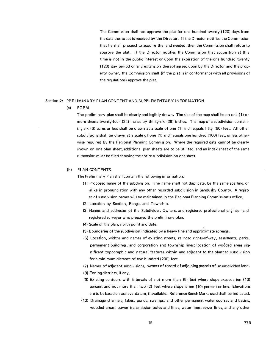The Commission shall not approve the plat for one hundred twenty (120) days from<br>the date the notice is received by the Director. If the Director notifies the Commission that he shall proceed to acquire the land needed, then the Commission shall refuse to approve the plat. If the Director notifies the Commission that acquisition at this time is not in the public interest or upon the expiration of the one hundred twenty ( 120) day period or any extension thereof agreed upon by the Director and the property owner, the Commission shall (if the plat is in conformance with all provisions of the regulations) approve the plat.

#### Section 2: PRELIMINARY PLAN CONTENT AND SUPPLEMENTARY INFORMATION

(a) FORM

The preliminary plan shall be clearly and legibly drawn. The size of the map shall be on one (1) or more sheets twenty-four (24) inches by thirty-six (36) inches. The map of a subdivision containing six (6) acres or less shall be drawn at a scale of one ( 1) inch equals fifty (50) feet. All other subdivisions shall be drawn at a scale of one (1) inch equals one hundred (100) feet, unless otherwise required by the Regional Planning Commission. Where the required data cannot be clearly shown on one plan sheet, additional plan sheets are to be utilized, and an index sheet of the same dimension must be filed showing the entire subdivision on one sheet.

#### (b) PLAN CONTENTS

The Preliminary Plan shall contain the following information:

- ( 1} Proposed name of the subdivision. The name shall not duplicate, be the same spelling, or alike in pronunciation with any other recorded subdivision in Sandusky County, A register of subdivision names will be maintained in the Regional Planning Commission's office.
- (2) Location by Section, Range, and Township.
- (3) Names and addresses of the Subdivider, Owners, and registered professional engineer and registered surveyor who prepared the preliminary plan.
- (4) Scale of the plan, north point and date.
- (5) Boundaries of the subdivision indicated by a heavy line and approximate acreage.
- (6) Location, widths and names of existing streets, railroad rights-of-way, easements, parks, permanent buildings, and corporation and township lines; location of wooded areas significant topographic and natural features within and adjacent to the planned subdivision for a minimum distance of two hundred (200) feet.
- (7) Names of adjacent subdivisions, owners of record of adjoining parcels of unsubdivided land.
- (8) Zoning districts, if any.
- (9) Existing contours with intervals of not more than (5) feet where slope exceeds ten (10) percent and not more than two (2) feet where slope is ten ( 10) percent or less. Elevations are to be based on sea level datum, if available. Reference Bench Marks used shall be indicated.
- (10) Drainage channels, lakes, ponds, swamps, and other permanent water courses and basins, wooded areas, power transmission poles and lines, water lines, sewer lines, and any other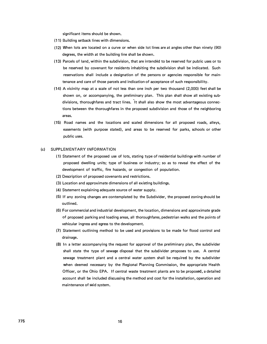significant items should be shown.

- (11) Building setback lines with dimensions.
- (12) When lots are located on a curve or when side lot lines are at angles other than ninety (90) degrees, the width at the building line shall be shown.
- ( **13)** Parcels of land, within the subdivision, that are intended to be reserved for public uses or to be reserved by covenant for residents inhabiting the subdivision shall be indicated. Such reservations shall include a designation of the persons or agencies responsible for maintenance and care of those parcels and indication of acceptance of such responsibility.
- **(14) A** vicinity map at a scale of not less than one inch per two thousand (2,000) feet shall be shown on, or accompanying, the preliminary plan. This plan shall show all existing subdivisions, thoroughfares and tract lines. It shall also show the most advantageous connections between the thoroughfares in the proposed subdivision and those of the neighboring areas.
- (15) Road names and the locations and scaled dimensions for all proposed roads, alleys, easements (with purpose stated), and areas to be reserved for parks, schools or other public uses.

#### (c) SUPPLEMENTARY INFORMATION

- ( 1) Statement of the proposed use of lots, stating type of residential buildings with number of proposed dwelling units; type of business or industry; so as to reveal the effect of the development of traffic, fire hazards, or congestion of population.
- (2) Description of proposed covenants and restrictions.
- (3) Location and approximate dimensions of all existing buildings.
- (4) Statement explaining adequate source of water supply.
- (5) If any zoning changes are contemplated by the Subdivider, the proposed zoning should be outlined.
- (6) For commercial and industrial development, the location, dimensions and approximate grade of proposed parking and loading areas, all thoroughfares, pedestrian walks and the points of vehicular ingress and egress to the development.
- (7) Statement outlining method to be used and provisions to be made for flood control and drainage.
- (8) In a letter accompanying the request for approval of t�e preliminary plan, the subdivider shall state the type of sewage disposal that the subdivider proposes to use. A central sewage treatment plant and a central water system shall be required by the subdivider when deemed necessary by the Regional Planning Commission, the appropriate Health Officer, or the Ohio EPA. If central waste treatment plants are to be proposed, a detailed account shall be included discussing the method and cost for the installation, operation and maintenance of said system.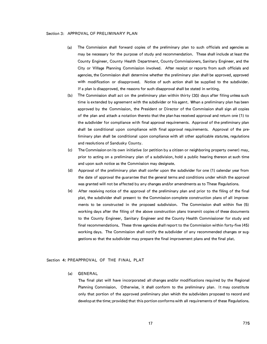#### Section 3: APPROVAL OF PRELIMINARY PLAN

- (a) The Commission shall forward copies of the preliminary plan to such officials and agencies as may be necessary for the purpose of study and recommendation. These shall include at least the County Engineer, County Health Department, County Commissioners, Sanitary Engineer, and the City or Village Planning Commission involved. After receipt or reports from such officials and agencies, the Commission shall determine whether the preliminary plan shall·be approved, approved with modification or disapproved. Notice of such action shall be supplied to the subdivider. If a plan is disapproved, the reasons for such disapproval shall be stated in writing.
- (b) The Commission shall act on the preliminary plan within thirty (30) days after filing unless such time is extended by agreement with the subdivider or his agent. When a preliminary plan has been approved by the Commission, the President or Director of the Commission shall sign all copies of the plan and attach a notation thereto that the plan has received approval and return one ( 1) to the subdivider for compliance with final approval requirements. Approval of the preliminary plan shall be conditional upon compliance with final approval requirements. Approval of the preliminary plan shall be conditional upon compliance with all other applicable statutes, regulations and resolutions of Sandusky County.
- (c) The Commission on its own initiative (or petition by a citizen or neighboring property owner) may, prior to acting on a preliminary plan of a subdivision, hold a public hearing thereon at such time and upon such notice as the Commission may designate.
- (d) Approval of the preliminary plan shall confer upon the subdivider for one (1) calendar year from the date of approval the guarantee that the general terms and conditions under which the approval was granted will not be affected by any changes and/or amendments as to These Regulations.
- (el After receiving notice of the approval of the preliminary plan and prior to the filing of the final plat, the subdivider shall present to the Commission complete construction plans of all improvements to be constructed in the proposed subdivision. The Commission shall within five (5) working days after the filing of the above construction plans transmit copies of these documents to the County Engineer, Sanitary Engineer and the County Health Commissioner for study and final recommendations. These three agencies shall report to the Commission within forty-five (45) working days. The Commission shall notify the subdivider of any recommended changes or suggestions so that the subdivider may prepare the final improvement plans and the final plat.

# Section 4: PREAPPROVAL OF THE FINAL PLAT

(a) GENERAL

The final plat will have incorporated all changes and/or modifications required by the Regional Planning Commission. Otherwise, it shall conform to the preliminary plan. It may constitute only that portion of the approved preliminary plan which the subdividers proposed to record and develop at the time; provided that this portion conforms with all requirements of these Regulations.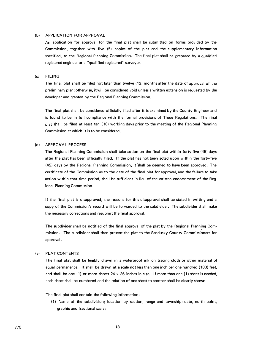#### (b) APPLICATION FOR APPROVAL

An application for approval for the final plat shall be submitted on forms provided by the Commission, together with five (5) copies of the plat and the supplementary information specified, to the Regional Planning Commission. The final plat shall be prepared by a qualified registered engineer or a "qualified registered" surveyor.

# (c) · FILING

The final plat shall be filed not later than twelve ( 12) months after the date of approval of the preliminary plan; otherwise, it will be considered void unless a written extension is requested by the developer and granted by the Regional Planning Commission.

The final plat shall be considered officially filed after it is examined by the County Engineer and is found to be in full compliance with the formal provisions of These Regulations. The final plat shall be filed at least ten ( 10) working days prior to the meeting of the Regional Planning Commission at which it is to be considered.

#### (d) APPROVAL PROCESS

The Regional Planning Commission shall take action on the final plat within forty-five (45) days after the plat has been officially filed. If the plat has not been acted upon within the forty-five (45) days by the Regional Planning Commission, it 'shall be deemed to have been approved. The certificate of the Commission as to the date of the final plat for approval, and the failure to take action within that time period, shall be sufficient in lieu of the written endorsement of the Regional Planning Commission.

If the final plat is disapproved, the reasons for this disapproval shall be stated in writing and a copy of the Commission's record will be forwarded to the subdivider. The subdivider shall make the necessary corrections and resubmit the final approval.

The subdivider shall be notified of the final approval of the plat by the Regional Planning Commission. The subdivider shall then present the plat to the Sandusky County Commissioners for approval.

# (e) PLAT CONTENTS

The final plat shall be legibly drawn in a waterproof ink on tracing cloth or other material of equal permanence. It shall be drawn at a scale not less than one inch per one hundred (100) feet, and shall be one (1) or more sheets  $24 \times 36$  inches in size. If more than one (1) sheet is needed, each sheet shall be numbered and the relation of one sheet to another shall be clearly shown.

The final plat shall contain the following information:

(1) Name of the subdivision; location by section, range and township; date, north point, graphic and fractional scale;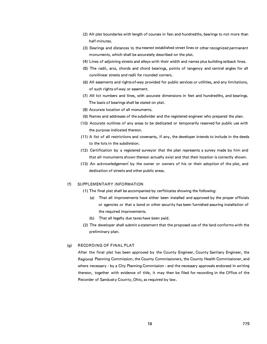- (2) All plat boundaries with length of courses in feet and hundredths, bearings to not more than half-minutes.
- (3) Bearings and distances to the nearest established street lines or other recognized permanent monuments, which shall be accurately described on the plat.
- **(4)** Lines of adjoining streets and alleys with their width and names plus building setback lines.
- (5) The radii, arcs, chords and chord bearings, points of tangency and central angles for all curvilinear streets and radii for rounded corners.
- (6) All easements and rights-of-way provided for public services or utilities, and any limitations, of such rights-of-way or easement.
- (7) All lot numbers and lines, with accurate dimensions in feet and hundredths, and bearings. The basis of bearings shall be stated on plat.
- **(8)** Accurate location of all monuments.
- (9) Names and addresses of the subdivider and the registered engineer who prepared the plan.
- **(1 D)** Accurate outlines of any areas to be dedicated or temporarily reserved for public use with the purpose indicated thereon.
- (11) A list of all restrictions and covenants, if any, the developer intends to include in the deeds to the lots in the subdivision.
- ( 12) Certification by a registered surveyor that the plan represents a survey made by him and that all monuments shown thereon actually exist and that their location is correctly shown.
- (13) An acknowledgement by the owner or owners of his or their adoption of the plat, and dedication of streets and other public areas.

#### (f) SUPPLEMENTARY INFORMATION

- ( 1) The final plat shall be accompanied by cerfiticates showing the following:
	- (a) That all improvements have either been installed and approved by the proper officials r or agencies or that a bond or other security has been furnished assuring installation of the required improvements.
	- (b) That all legally due taxes have been paid.
- (2) The developer shall submit a statement that the proposed use of the land conforms with the preliminary plan.

# (g) RECORDING OF FINAL PLAT

After the final plat has been approved by the County Engineer, County Sanitary Engineer, the Regional Planning Commission, the County Commissioners, the County Health Commissioner, and where necessary  $\cdot$  by a City Planning Commission  $\cdot$  and the necessary approvals endorsed in writing thereon, together with evidence of title, it may then be filed for recording in the Office of the Recorder of Sandusky County, Ohio, as required by law.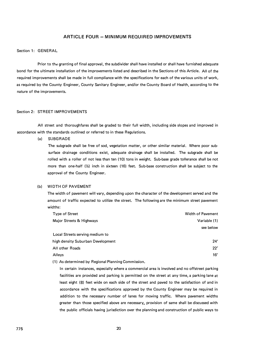# **ARTICLE FOUR - MINIMUM REQUIRED IMPROVEMENTS**

# Section 1: GENERAL

Prior to the granting of final approval, the subdivider shall have installed or shall have furnished adequate bond for the ultimate installation of the improvements listed and described in the Sections of this Article. All of the required improvements shall be made in full compliance with the specifications for each of the various units of work, as required by the County Engineer, County Sanitary Engineer, and/or the County Board of Health, according to the nature of the improvements.

#### Section 2: STREET IMPROVEMENTS

All street and thoroughfares shall be graded to their full width, including side slopes and improved in accordance with the standards outlined or referred to in these Regulations.

(a) SUBGRADE

The subgrade shall be free of sod, vegetation matter, or other similar material. Where poor subsurface drainage conditions exist, adequate drainage shall be installed. The subgrade shall be rolled with a roller of not less than ten (10) tons in weight. Sub-base grade tollerance shall be not more than one-half (½) inch in sixteen (16) feet. Sub-base construction shall be subject to the approval of the County Engineer.

#### (b) WIDTH OF PAVEMENT

The width of pavement will vary, depending upon the character of the development served and the amount of traffic expected to utilize the street. The following are the minimum street pavement widths:

| <b>Type of Street</b>             | <b>Width of Pavement</b> |
|-----------------------------------|--------------------------|
| Major Streets & Highways          | Variable (1)             |
|                                   | see below                |
| Local Streets serving medium to   |                          |
| high density Suburban Development | 24'                      |
| All other Roads                   | 22'                      |
| Alleys                            | 16'                      |

( 1) As determined by Regional Planning Commission.

In certain instances, especially where a commercial area is involved and no offstreet parking facilities are provided and parking is permitted on the street at any time, a parking lane at least eight (8) feet wide on each side of the street and paved to the satisfaction of and in accordance with the specifications approved by the County Engineer may be required in addition to the necessary number of lanes for moving traffic. Where pavement widths greater than those specified above are necessary. provision of same shall be discussed with the public officials having jurisdiction over the planning and construction of public ways to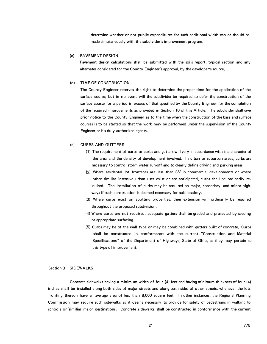determine whether or not public expenditures for such additional width can or should be made simutaneously with the subdivider's improvement program.

#### (c) PAVEMENT DESIGN

Pavement design calculations shall be submitted with the soils report, typical section and any alternates considered for the County Engineer's approval, by the developer's source.

#### (d) TIME OF CONSTRUCTION

The County Engineer reserves the right to determine the proper time for the application of the surface course; but in no event will the subdivider be required to defer the construction of the surface course for a period in excess of that specified by the County Engineer for the completion of the required improvements as provided in Section 10 of this Article. The subdivider �hall give prior notice to the County Engineer as to the time when the construction of the base and surface courses is to be started so that the work may be performed under the supervision of the County Engineer or his duly authorized agents.

# (e) CURBS AND GUTTERS

- (1) The requirement of curbs or curbs and gutters will vary in accordance with the character of the area and the density of development involved. In urban or suburban areas, curbs are necessary to control storm water run-off and to clearly define driving and parking areas.
- (2) Where residental lot frontages are less than 85' in commercial developments or where other similiar intensive urban uses exist or are anticipated, curbs shall be ordinarily required. The installation of curbs may be required on major, secondary, and minor highways if such construction is deemed necessary for public safety.
- (3) Where curbs exist on abutting properties, their extension will ordinarily be required throughout the proposed subdivision.
- (4) Where curbs are not required, adequate gutters shall be graded and protected by seeding or appropriate surfacing.
- (5) Curbs may be of the wall type or may be combined with gutters built of concrete. Curbs shall be constructed °in conformance with the current "Construction and Material Specifications" of the Department of Highways, State of Ohio, as they may pertain to this type of improvement.

#### Section 3: SIDEWALKS

Concrete sidewalks having a minimum width of four (4) feet and having minimum thickness of four (4) inches shall be installed along both sides of major streets and along both sides of other streets, whenever the lots fronting thereon have an average area of less than 8,000 square feet. In other instances, the Regional Planning Commission may require such sidewalks as it deems necessary to provide for safety of pedestrians in walking to schools or similiar major destinations. Concrete sidewalks shall be constructed in conformance with the current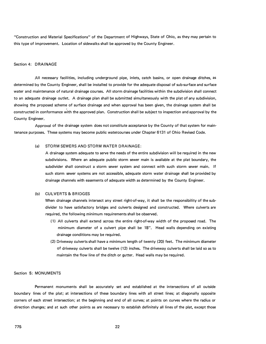"Construction and Material Specifications" of the Department of Highways, State of Ohio, as they may pertain to this type of improvement. Location of sidewalks shall be approved by the County Engineer.

 $\hat{\mathbf{x}}$ 

#### Section **4: DRAINAGE**

All necessary facilities, including underground pipe, inlets, catch basins, or open drainage ditches, as determined by the County Engineer, shall be installed to provide for the adequate disposal of sub-surface and surface water and maintenance of natural drainage courses. All storm drainage facilities within the subdivision shall connect to an adequate drainage outlet. A drainage plan shall be submitted simultaneously with the plat of any subdivision, showing the proposed scheme of surface drainage and when approval has been given, the drainage system shall be constructed in conformance with the approved plan. Construction shall be subject to inspection and approval by the County Engineer.

Approval of the drainage system does not constitute acceptance by the County of that system for maintenance purposes. These systems may become public watercourses under Chapter 6131 of Ohio Revised Code.

# (a) STORM SEWERS AND STORM WATER DRAINAGE:

A drainage system adequate to serve the needs of the entire subdivision will be required in the new subdivisions. Where an adequate public storm sewer main is available at the plat boundary, the subdivider shall construct a storm sewer system and connect with such storm sewer main. If such storm sewer systems are not accessible, adequate storm water drainage shall be provided by drainage channels with easements of adequate width as determined by the County Engineer.

#### (b) CULVERTS & BRIDGES

When drainage channels intersect any street right-of-way, it shall be the responsibility of the subdivider to have satisfactory bridges and culverts designed and constructed. Where culverts are required, the following minimum requirements shall be observed.

- (1) All culverts shall extend across the entire right-of-way width of the proposed road. The minimum diameter of a culvert pipe shall be 18". Head walls depending on existing drainage conditions may be required.
- (2) Driveway culverts shall have a minimum length of twenty (20) feet. The minimum diameter of driveway culverts shall be twelve (12) inches. The driveway culverts shall be laid so as to maintain the flow line of the ditch or gutter. Head walls may be required.

#### Section 5: MONUMENTS

Permanent monuments shall be accurately set and established at the intersections of all outside boundary lines of the plat; at intersections of these boundary lines with all street lines; at diagonally opposite corners of each street intersection; at the beginning and end of all curves; at points on curves where the radius or direction changes; and at such other points as are necessary to establish definitely all lines of the plat, except those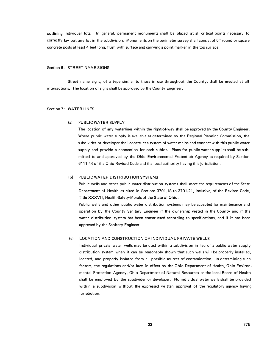outlining individual lots. In general, permanent monuments shall be placed at all critical points necessary to correctly lay out any lot in the subdivision. Monuments on the perimeter survey shall consist of 6" round or square. concrete posts at least 4 feet long, flush with surface and carrying a point marker in the top surface,

#### Section 6: STREET NAME SIGNS

Street name signs, of a type similar to those in use throughout the County, shall be erected at all intersections. The location of signs shall be approved by the County Engineer.

# Section 7: WATERLINES

#### (a) PUBLIC WATER SUPPLY

The location of any waterlines within the right-of-way shall be approved by the County Engineer. Where public water supply is available as determined by the Regional Planning Commission, the subdivider or developer shall construct a system of water mains and connect with this public water supply and provide a connection for each sublot. Plans for public water supplies shall be submitted to and approved by the Ohio Environmental Protection Agency as required by Section 6111.44 of the Ohio Revised Code and the local authority having this jurisdiction.

#### $(h)$ PUBLIC WATER DISTRIBUTION SYSTEMS

Public wells and other public water distribution systems shall meet the requirements of the State Department of Health as cited in Sections 3701.18 to 3701.21, inclusive, of the Revised Code, Title XXXVII, Health-Safety-Morals of the State of Ohio.

Public wells and other public water distribution systems may be accepted for maintenance and operation by the County Sanitary Engineer if the ownership vested in the County and if the water distribution system has been constructed according to specifications, and if it has been approved by the Sanitary Engineer.

# (c) LOCATION AND CONSTRUCTION OF INDIVIDUAL PRIVATE WELLS

Individual private water wells may be used within a subdivision in lieu of a public water supply distribution system when it can be reasonably shown that such wells will be properly installed, located, and properly isolated from all possible sources of contamination. In determining such factors, the regulations and/or laws in effect by the Ohio Department of Health, Ohio Environmental Protection Agency, Ohio Department of Natural Resources or the local Board of Health shall be employed by the subdivider or developer. No individual water wells shall be provided within a subdivision without the expressed written approval of the regulatory agency having jurisdiction.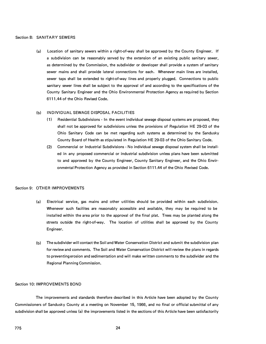#### Section 8: SANITARY SEWERS

(a) Location of sanitary sewers within a right-of-way shall be approved by the County Engineer. If a subdivision can be reasonably served by the extension of an existing public sanitary sewer, as determined by the Commission, the subdivider or developer shall provide a system of sanitary sewer mains and shall provide lateral connections for each. Whenever main lines are installed, sewer taps shall be extended to right-of-way lines and properly plugged. Connections to public sanitary sewer lines shall be subject to the approval of and according to the specifications of the County Sanitary Engineer and the Ohio Environmental Protection Agency as required by Section 6111.44 of the Ohio Revised Code.

# (b) INDIVIDUAL SEWAGE DISPOSAL FACILITIES

- ( 1) Residential Subdivisions In the event individual sewage disposal systems are proposed, they shall not be approved for subdivisions unless the provisions of Regulation HE 29-03 of the Ohio Sanitary Code can be met regarding such systems as determined by the Sandusky County Board of Health as stipulated in Regulation HE 29-03 of the Ohio Sanitary Code.
- **(2)** Commercial or Industrial Subdivisions No individual sewage disposal system shall be installed in any proposed commercial or industrial subdivision unless plans have been submitted to and approved by the County Engineer, County Sanitary Engineer, and the Ohio Environmental Protection Agency as provided in Section 6111 .44 of the Ohio Revised Code.

# Section 9: OTHER IMPROVEMENTS

- (a) Electrical service, gas mains and other utilities should be provided within each subdivision. Whenever such facilites are reasonably accessible and available, they may be required to be installed within the area prior to the approval of the final plat. Trees may be planted along the streets outside the right-of-way. The location of utilities shall be approved by the County Engineer.  $\mathbf{r}$
- (b) The subdivider will contact the Soil and Water Conservation District and submit the subdivision plan for review and comments. The Soil and Water Conservation District will review the plans in regards to preventing erosion and sedimentation and will make written comments to the subdivider and the Regional Planning Commission.

# Section 10: IMPROVEMENTS BOND

The improvements and standards therefore described in this Article have been adopted by the County Commissioners of Sandusky County at a meeting on November 15, 1966, and no final or official submittal of any subdivision shall be approved unless (a) the improvements listed in the sections of this Article have been satisfactorily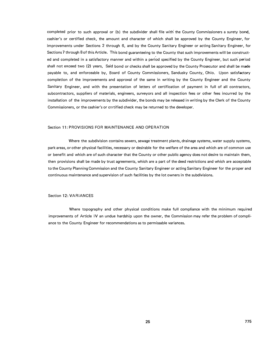completed prior to such approval or (b) the subdivider shall file with' the County Commissioners a surety bond, cashier's or certified check, the amount and character of which shall be approved by the County Engineer, for improvements under Sections 2 through 6, and by the County Sanitary Engineer or acting Sanitary Engineer, for Sections 7 through 8 of this Article. This bond guaranteeing to the County that such improvements will be construct· ed and completed in a satisfactory manner and within a period specified by the County Engineer, but such period shall not exceed two (2) years, Said bond or checks shall be approved by the County Prosecutor and shall be made payable to, and enforceable by, Board of County Commissioners, Sandusky County, Ohio. Upon satisfactory completion of the improvements and approval of the same in writing by the County Engineer and the County Sanitary Engineer, and with the presentation of letters of certification of payment in full of all contractors, subcontractors, suppliers of materials, engineers, surveyors and all inspection fees or other fees incurred by the installation of the improvements by the subdivider, the bonds may be released in writing by the Clerk of the County Commissioners, or the cashier's or certified check may be returned to the developer.

#### Section 11: PROVISIONS FOR MAINTENANCE AND OPERATION

Where the subdivision contains sewers, sewage treatment plants, drainage systems, water supply systems, park areas, or other physical facilities, necessary or desirable for the welfare of the area and which are of common use or benefit and which are of such character that the County or other public agency does not desire to maintain them, then provisions shall be made by trust agreements, which are a part of the deed restrictions and which are acceptable to the County Planning Commission and the County Sanitary Engineer or acting Sanitary Engineer for the proper and continuous maintenance and supervision of such facilities by the lot owners in the subdivisions.

#### Section 12: VARIANCES

Where topography and other physical conditions make full compliance with the minimum required improvements of Article IV an undue hardship upon the owner, the Commission may refer the problem of compliance to the County Engineer for recommendations as to permissable variances.

 $\bar{z}$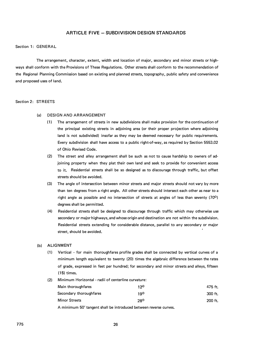# **ARTICLE FIVE - SUBDIVISION DESIGN STANDARDS**

#### Section 1: GENERAL

The arrangement, character, extent, width and location of major, secondary and minor streets or highways shall conform with the Provisions of These Regulations. Other streets shall conform to the recommendation of the Regional Planning Commission based on existing and planned streets, topography, public safety and convenience and proposed uses of land.

#### Section 2: STREETS

- (a) DESIGN AND ARRANGEMENT
	- **(1)** The arrangement of streets in new subdivisions shall make provision for the continuation of the principal existing streets in adjoining area (or their proper projection where adjoining land is not subdivided) insofar as they may be deemed necessary for public requirements. Every subdivision shall have access to a public right-of-way, as required by Section 5553.02 of Ohio Revised Code.
	- **(2)** The street and alley arrangement shall be such as not to cause hardship to owners of adjoining property when they plat their own land and seek to provide for convenient access to it. Residential streets shall be so designed as to discourage through traffic, but offset streets should be avoided.
	- **(3)** The angle of intersection between minor streets and major streets should not vary by more than ten degrees from a right angle. All other streets should intersect each other as near to a right angle as possible and no intersection of streets at angles of less than seventy (70°) degrees shall be permitted.
	- **(4)** Residential streets shall be designed to discourage through traffic which may otherwise use secondary or major highways, and whose origin and destination are not within the subdivision. Residential streets extending for considerable distance, parallel to any secondary or major street, should be avoided.

#### **(b) ALIGNMENT**

- **(1)** Vertical for main thoroughfares profile grades shall be connected by vertical curves of a minimum length equivalent to twenty (20) times the algebraic difference between the rates of grade, expressed in feet per hundred; for secondary and minor streets and alleys, fifteen **(15)** times.
- **(2)** Minimum Horizontal radii of centerline curvature:

| Main thoroughfares      | 120 | 475 ft.   |
|-------------------------|-----|-----------|
| Secondary thoroughfares | 190 | $300$ ft. |
| <b>Minor Streets</b>    | 280 | $200$ ft. |

A minimum 50' tangent shall be introduced between reverse curves.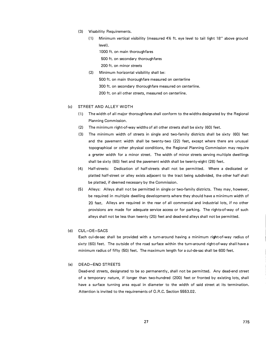- (3) Visability Requirements.
	- ( 1) Minimum vertical visibility (measured 4½ ft. eye level to tail light 18" above ground level).

1000 ft. on main thoroughfares

500 ft. on secondary thoroughfares

200 ft. on minor streets

(2) Minimum horizontal visibility shall be:

500 ft. on main thoroughfare measured on centerline

300 ft. on secondary thoroughfare measured on centerline.

200 ft. on all other streets, measured on centerline.

## (c) STREET AND ALLEY WIDTH

- (1) The width of all major thoroughfares shall conform to the widths designated by the Regional Planning Commission.
- (2) The minimum right-of-way widths of all other streets shall be sixty (60) feet.
- (3) The minimum width of streets in single and two-family districts shall be sixty (60) feet and the pavement width shall be twenty-two (22) feet, except where there are unusual topographical or other physical conditions, the Regional Planning Commission may require a greater width for a minor street. The width of minor streets serving multiple dwellings shall be sixty (60) feet and the pavement width shall be twenty-eight (28) feet.
- (4) Half-streets: Dedication of half-streets shall not be permitted. Where a dedicated or platted half-street or alley exists adjacent to the tract being subdivided, the other half shall be platted, if deemed necessary by the Commission.
- (5) Alleys: Alleys shall not be permitted in single or two-family districts. They may, however, be required in multiple dwelling developments where they should have a minimum width of 20 feet. Alleys are required in the rear of all commercial and industrial lots, if no other provisions are made for adequate service access or for parking. The rights-of-way of such alleys shall not be less than twenty (20) feet and dead-end alleys shall not be permitted.

#### (d) CUL-DE-SACS

Each cul-de-sac shall be provided with a turn-around having a minimum right-of-way radius of sixty (60) feet. The outside of the road surface within the turn-around right-of-way shall have a minimum radius of fifty (50) feet. The maximum length for a cul-de-sac shall be 600 feet.

#### (e) DEAD-END STREETS

Dead-end streets, designated to be so permanently, shall not be permitted. Any dead-end street of a temporary nature, if longer than two-hundred (200) feet or fronted by existing lots, shall have a surface turning area equal in diameter to the width of said street at its termination. Attention is invited to the requirements of O.R.C. Section 5553.02.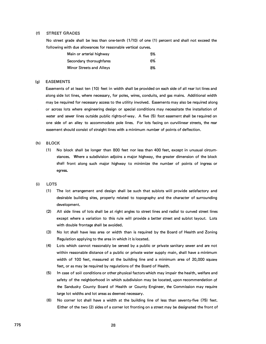#### (fl STREET GRADES

No street grade shall be less than one-tenth ( 1 /10) of one ( 1) percent and shall not exceed the following with due allowances for reasonable vertical curves.

| Main or arterial highway | 5% |
|--------------------------|----|
| Secondary thoroughfares  | 6% |
| Minor Streets and Alleys | 8% |

# (g) EASEMENTS

Easements of at least ten ( 10) feet in width shall be provided on each side of all rear lot lines and along side lot lines, where necessary, for poles, wires, conduits, and gas mains. Additional width may be required for necessary access to the utility involved. Easements may also be required along or across lots where engineering design or special conditions may necessitate the installation of water and sewer lines outside public rights-of-way. A five (5) foot easement shall be required on one side of an alley to accommodate pole lines. For lots facing on curvilinear streets, the rear easement should consist of straight lines with a minimum number of points of deflection.

#### (h) BLOCK

(1) No block shall be longer than 800 feet nor less than 400 feet, except in unusual circumstances. Where a subdivision adjoins a major highway, the greater dimension of the block shall front along such major highway to minimize the number of points of ingress or egress.

#### (i) LOTS

- ( 1) The lot arrangement and design shall be such that sublots will provide satisfactory and desirable building sites, properly related to topography and the character of surrounding development.
- (2) All side lines of lots shall be at right angles to street lines and radial to curved street lines except where a variation to this rule will provide a better street and sublot layout. Lots with double frontage shall be avoided.
- (3) No lot shall have less area or width than is required by the Board of Health and Zoning Regulation applying to the area in which it is located.
- (4) Lots which cannot reasonably be served by a public or private sanitary sewer and are not within reasonable distance of a public or private water supply main, shall have a minimum width of 100 feet, measured at the building line and a minimum area of 20,000 square feet, or as may be required by regulations of the Board of Health.
- (5) In case of soil conditions or other physical factors which may impair the health, welfare and safety of the neighborhood in which subdivision may be located, upon recommendation of the Sandusky County Board of Health or County Engineer, the Commission may require large lot widths and lot areas as deemed necessary.
- (6) No corner lot shall have a width at the building line of less than seventy-five (75) feet. Either of the two (2) sides of a corner lot fronting on a street may be designated the front of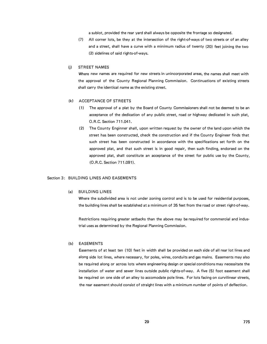a sublot, provided the rear yard shall always be opposite the frontage so designated.

(7) All corner lots, be they at the intersection of the right-of-ways of two streets or of an alley and a street, shall have a curve with a minimum radius of twenty (20) feet joining the two (2) sidelines of said rights-of-ways.

# (j) STREET NAMES

Where new names are required for new streets in unincorporated areas, the names shall meet with the approval of the County Regional Planning Commission. Continuations of existing streets shall carry the identical name as the existing street.

#### (kl ACCEPTANCE OF STREETS

- ( 1) The approval of a plat by the Board of County Commissioners shall not be deemed to be an acceptance of the dedication of any public street, road or highway dedicated in such plat, 0.R.C. Section 711.041.
- (2) The County Enginner shall, upon written request by the owner of the land upon which the street has been constructed, check the construction and if the County Engineer finds that such street has been constructed in accordance with the specifications set forth on the approved plat, and that such street is in good repair, then such finding, endorsed on the approved plat, shall constitute an acceptance of the street for public use by the County, (O.R.C. Section 711.091 ).

# Section 3: BUILDING LINES AND EASEMENTS

# (a) BUILDING LINES

Where the subdivided area is not under zoning control and is to be used for residential purposes, the building lines shall be established at a minimum of 35 feet from the road or street right-of-way.

Restrictions requiring greater setbacks than the above may be required for commercial and industrial uses as determined by the Regional Planning Commission.

#### (b) EASEMENTS

Easements of at least ten ( 10) feet in width shall be provided on each side of all rear lot lines and along side lot lines, where necessary, for poles, wires, conduits and gas mains. Easements may also be required along or across lots where engineering design or special conditions may necessitate the installation of water and sewer lines outside public rights-of-way. A five (5) foot easement shall be required on one side of an alley to accomodate pole lines. For lots facing on curvilinear streets, the rear easement should consist of straight lines with a minimum number of points of deflection.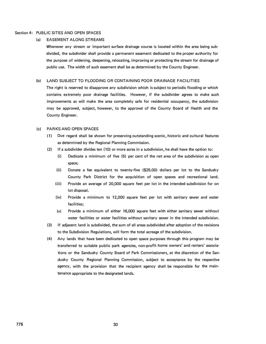#### Section 4: PUBLIC SITES AND OPEN SPACES

#### (a} EASEMENT ALONG STREAMS

Whenever any stream or important surface drainage course is located within the area being subdivided, the subdivider shall provide a permanent easement dedicated to the proper authority for the purpose of widening, deepening, relocating, improving or protecting the stream for drainage of public use. The width of such easement shall be as determined by the County Engineer.

#### (b) LAND SUBJECT TO FLOODING OR CONTAINING POOR DRAINAGE FACILITIES

The right is reserved to disapprove any subdivision which is subject to periodic flooding or which contains extremely poor drainage facilities. However, if the subdivider agrees to make such improvements as will make the area completely safe for residential occupancy, the subdivision may be approved, subject, however, to the approval of the County Board of Health and the County Engineer.

#### (c} PARKS AND OPEN SPACES

- ( 1} Due regard shall be shown for preserving outstanding scenic, historic and cultural features as determined by the Regional Planning Commission.
- (2) If a subdivider divides ten (10) or more acres in a subdivision, he shall have the option to:
	- (i) Dedicate a minimum of five (5) per cent of the net area of the subdivision as open space;
	- (ii) Donate a fee equivalent to twenty-five (\$25.00) dollars per lot to the Sandusky County Park District for the acquisition of open spaces and recreational land.
	- (iii) Provide an average of 20,000 square feet per lot in the intended subdivision for on lot disposal.
	- (iv) Provide a minimum to 12,000 square feet per lot with sanitary sewer and water facilities;
	- (v) Provide a minimum of either 16,000 square feet with either sanitary sewer without water facilities or water facilities without sanitary sewer in the intended subdivision.
- (3) If adjacent land is subdivided, the sum of all areas subdivided after adoption of the revisions to the Subdivision Regulations, will form the total acreage of the subdivision.
- (4) Any lands that have been dedicated to open space purposes through this program may be transferred to suitable public park agencies, non-profit home owners' and renters' associations or the Sandusky County Board of Park Commissioners, at the discretion of the Sandusky County Regional Planning Commission, subject to acceptance by the respective agency, with the provision that the recipient agency shall be responsible for the maintenance appropriate to the designated lands.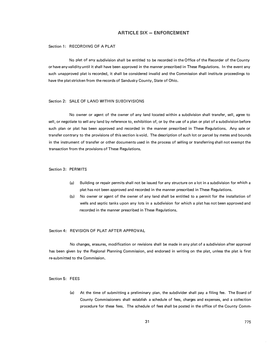# **ARTICLE SIX - ENFORCEMENT**

## Section 1: RECORDING OF A PLAT

No plat of any subdivision shall be entitled to be recorded in the Office of the Recorder of the County or have any validity until it shall have been approved in the manner prescribed in These Regulations. In the event any such unapproved plat is recorded, it shall be considered invalid and the Commission shall institute proceedings to have the plat stricken from the records of Sandusky County, State of Ohio.

## Section 2: SALE OF LAND WITHIN SUBDIVISIONS

No owner or agent of the owner of any land located within a subdivision shall transfer, sell, agree to sell, or negotiate to sell any land by reference to, exhibition of, or by the use of a plan or plat of a subdivision before such plan or plat has been approved and recorded in the manner prescribed in These Regulations. Any sale or transfer contrary to the provisions of this section is void. The description of such lot or parcel by metes and bounds in the instrument of transfer or other documents used in the process of selling or transferring shall not exempt the transaction from the provisions of These Regulations.

#### Section 3: PERMITS

- (a) Building or repair permits shall not be issued for any structure on a lot in a subdivision for which a plat has not been approved and recorded in the manner prescribed in These Regulations.
- (b) No owner or agent of the owner of any land shall be entitled to a permit for the installation of wells and septic tanks upon any lots in a subdivision for which a plat has not been approved and recorded in the manner prescribed in These Regulations.

# Section 4: REVISION OF PLAT AFTER APPROVAL

No changes, erasures, modification or revisions shall be made in any plat of a subdivision after approval has been given by the Regional Planning Commission, and endorsed in writing on the plat, unless the plat is first re-submitted to the Commission.

Section 5: FEES

(a) At the time of submitting a preliminary plan, the subdivider shall pay a filing fee. The Board of County Commissioners shall establish a schedule of fees, charges and expenses, and a collection procedure for these fees. The schedule of fees shall be posted in the office of the County Comm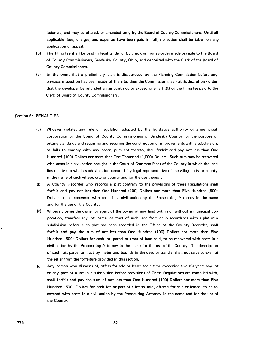issioners, and may be altered, or amended only by the Board of County Commissioners. Until all applicable fees, charges, and expenses have been paid in full, no action shall be taken on any application or appeal.

- (b) The filing fee shall be paid in legal tender or by check or money order made payable to the Board of County Commissioners, Sandusky County, Ohio, and deposited with the Clerk of the Board of County Commissioners.
- (c) In the event that a preliminary plan is disapproved by the Planning Commission before any physical inspection has been made of the site, then the Commission may - at its discretion - order that the developer be refunded an amount not to exceed one-half (½) of the filing fee paid to the Clerk of Board of County Commissioners.

#### Section 6: PENALTIES

- (a) Whoever violates any rule or regulation adopted by the legislative authority of a municipal corporation or the Board of County Commissioners of Sandusky County for the purpose of setting standards and requiring and securing the construction of improvements with a subdivision, or fails to comply with any order, pursuant thereto, shall forfeit and pay not less than One Hundred ( 100) Dollars nor more than One Thousand (1,000) Dollars. Such sum may be recovered with costs in a civil action brought in the Court of Common Pleas of the County in which the land lies relative to which such violation occured, by legal representative of the village, city or county, in the name of such village, city or county and for the use thereof.
- (b! A County Recorder who records a plat contrary to the provisions of these Regulations shall forfeit and pay not less than One Hundred (100) Dollars nor more than Five Hundred (500) Dollars to be recovered with costs in a civil action by the Prosecuting Attorney in the name and for the use of the County.
- (c) Whoever, being the owner or agent of the owner of any land within or without a municipal corporation, transfers any lot, parcel or tract of such land from or in accordance with a plat of a subdivision before such plat has been recorded in the Office of the County Recorder, shall forfeit and pay the sum of not less than One Hundred (100) Dollars nor more than Five Hundred (500) Dollars for each lot, parcel or tract of land sold, to be recovered with costs in a civil action by the Prosecuting Attorney in the name for the use of the County. The description of such lot, parcel or tract by metes and bounds in the deed or transfer shall not serve to exempt the seller from the forfeiture provided in this section.
- (d) Any person who disposes of, offers for sale or leases for a time exceeding five (5) years any lot or any part of a lot in a subdivision before provisions of These Regulations are complied with, shall forfeit and pay the sum of not less than One Hundred (100) Dollars nor more than Five Hundred (500) Dollars for each lot or part of a lot so sold, offered for sale or leased, to be recovered with costs in a civil action by the Prosecuting Attorney in the name and for the use of the County.